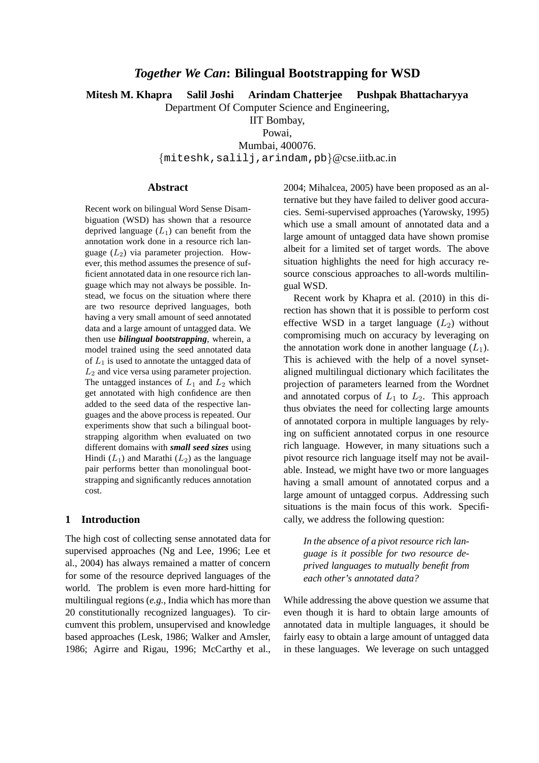# *Together We Can***: Bilingual Bootstrapping for WSD**

**Mitesh M. Khapra Salil Joshi Arindam Chatterjee Pushpak Bhattacharyya**

Department Of Computer Science and Engineering,

IIT Bombay,

Powai, Mumbai, 400076. {miteshk,salilj,arindam,pb}@cse.iitb.ac.in

#### **Abstract**

Recent work on bilingual Word Sense Disambiguation (WSD) has shown that a resource deprived language  $(L_1)$  can benefit from the annotation work done in a resource rich language  $(L_2)$  via parameter projection. However, this method assumes the presence of sufficient annotated data in one resource rich language which may not always be possible. Instead, we focus on the situation where there are two resource deprived languages, both having a very small amount of seed annotated data and a large amount of untagged data. We then use *bilingual bootstrapping*, wherein, a model trained using the seed annotated data of  $L_1$  is used to annotate the untagged data of  $L_2$  and vice versa using parameter projection. The untagged instances of  $L_1$  and  $L_2$  which get annotated with high confidence are then added to the seed data of the respective languages and the above process is repeated. Our experiments show that such a bilingual bootstrapping algorithm when evaluated on two different domains with *small seed sizes* using Hindi  $(L_1)$  and Marathi  $(L_2)$  as the language pair performs better than monolingual bootstrapping and significantly reduces annotation cost.

### **1 Introduction**

The high cost of collecting sense annotated data for supervised approaches (Ng and Lee, 1996; Lee et al., 2004) has always remained a matter of concern for some of the resource deprived languages of the world. The problem is even more hard-hitting for multilingual regions (*e.g.*, India which has more than 20 constitutionally recognized languages). To circumvent this problem, unsupervised and knowledge based approaches (Lesk, 1986; Walker and Amsler, 1986; Agirre and Rigau, 1996; McCarthy et al.,

2004; Mihalcea, 2005) have been proposed as an alternative but they have failed to deliver good accuracies. Semi-supervised approaches (Yarowsky, 1995) which use a small amount of annotated data and a large amount of untagged data have shown promise albeit for a limited set of target words. The above situation highlights the need for high accuracy resource conscious approaches to all-words multilingual WSD.

Recent work by Khapra et al. (2010) in this direction has shown that it is possible to perform cost effective WSD in a target language  $(L_2)$  without compromising much on accuracy by leveraging on the annotation work done in another language  $(L_1)$ . This is achieved with the help of a novel synsetaligned multilingual dictionary which facilitates the projection of parameters learned from the Wordnet and annotated corpus of  $L_1$  to  $L_2$ . This approach thus obviates the need for collecting large amounts of annotated corpora in multiple languages by relying on sufficient annotated corpus in one resource rich language. However, in many situations such a pivot resource rich language itself may not be available. Instead, we might have two or more languages having a small amount of annotated corpus and a large amount of untagged corpus. Addressing such situations is the main focus of this work. Specifically, we address the following question:

*In the absence of a pivot resource rich language is it possible for two resource deprived languages to mutually benefit from each other's annotated data?*

While addressing the above question we assume that even though it is hard to obtain large amounts of annotated data in multiple languages, it should be fairly easy to obtain a large amount of untagged data in these languages. We leverage on such untagged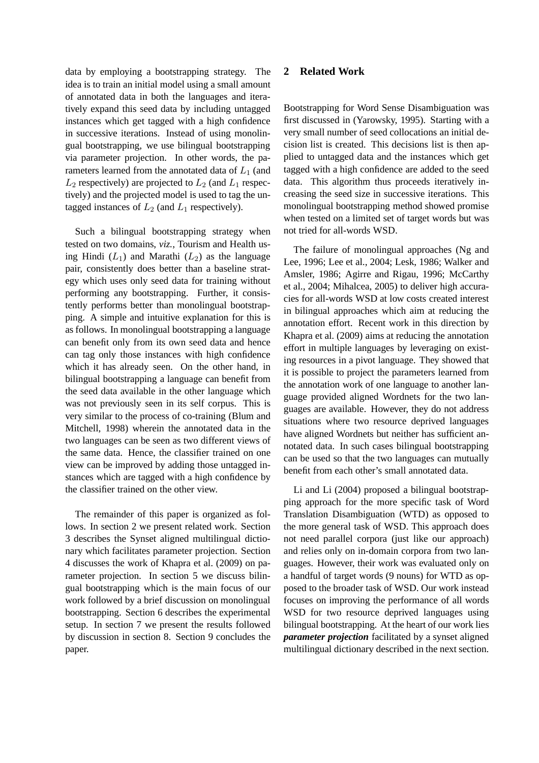data by employing a bootstrapping strategy. The idea is to train an initial model using a small amount of annotated data in both the languages and iteratively expand this seed data by including untagged instances which get tagged with a high confidence in successive iterations. Instead of using monolingual bootstrapping, we use bilingual bootstrapping via parameter projection. In other words, the parameters learned from the annotated data of  $L_1$  (and  $L_2$  respectively) are projected to  $L_2$  (and  $L_1$  respectively) and the projected model is used to tag the untagged instances of  $L_2$  (and  $L_1$  respectively).

Such a bilingual bootstrapping strategy when tested on two domains, *viz.*, Tourism and Health using Hindi  $(L_1)$  and Marathi  $(L_2)$  as the language pair, consistently does better than a baseline strategy which uses only seed data for training without performing any bootstrapping. Further, it consistently performs better than monolingual bootstrapping. A simple and intuitive explanation for this is as follows. In monolingual bootstrapping a language can benefit only from its own seed data and hence can tag only those instances with high confidence which it has already seen. On the other hand, in bilingual bootstrapping a language can benefit from the seed data available in the other language which was not previously seen in its self corpus. This is very similar to the process of co-training (Blum and Mitchell, 1998) wherein the annotated data in the two languages can be seen as two different views of the same data. Hence, the classifier trained on one view can be improved by adding those untagged instances which are tagged with a high confidence by the classifier trained on the other view.

The remainder of this paper is organized as follows. In section 2 we present related work. Section 3 describes the Synset aligned multilingual dictionary which facilitates parameter projection. Section 4 discusses the work of Khapra et al. (2009) on parameter projection. In section 5 we discuss bilingual bootstrapping which is the main focus of our work followed by a brief discussion on monolingual bootstrapping. Section 6 describes the experimental setup. In section 7 we present the results followed by discussion in section 8. Section 9 concludes the paper.

# **2 Related Work**

Bootstrapping for Word Sense Disambiguation was first discussed in (Yarowsky, 1995). Starting with a very small number of seed collocations an initial decision list is created. This decisions list is then applied to untagged data and the instances which get tagged with a high confidence are added to the seed data. This algorithm thus proceeds iteratively increasing the seed size in successive iterations. This monolingual bootstrapping method showed promise when tested on a limited set of target words but was not tried for all-words WSD.

The failure of monolingual approaches (Ng and Lee, 1996; Lee et al., 2004; Lesk, 1986; Walker and Amsler, 1986; Agirre and Rigau, 1996; McCarthy et al., 2004; Mihalcea, 2005) to deliver high accuracies for all-words WSD at low costs created interest in bilingual approaches which aim at reducing the annotation effort. Recent work in this direction by Khapra et al. (2009) aims at reducing the annotation effort in multiple languages by leveraging on existing resources in a pivot language. They showed that it is possible to project the parameters learned from the annotation work of one language to another language provided aligned Wordnets for the two languages are available. However, they do not address situations where two resource deprived languages have aligned Wordnets but neither has sufficient annotated data. In such cases bilingual bootstrapping can be used so that the two languages can mutually benefit from each other's small annotated data.

Li and Li (2004) proposed a bilingual bootstrapping approach for the more specific task of Word Translation Disambiguation (WTD) as opposed to the more general task of WSD. This approach does not need parallel corpora (just like our approach) and relies only on in-domain corpora from two languages. However, their work was evaluated only on a handful of target words (9 nouns) for WTD as opposed to the broader task of WSD. Our work instead focuses on improving the performance of all words WSD for two resource deprived languages using bilingual bootstrapping. At the heart of our work lies *parameter projection* facilitated by a synset aligned multilingual dictionary described in the next section.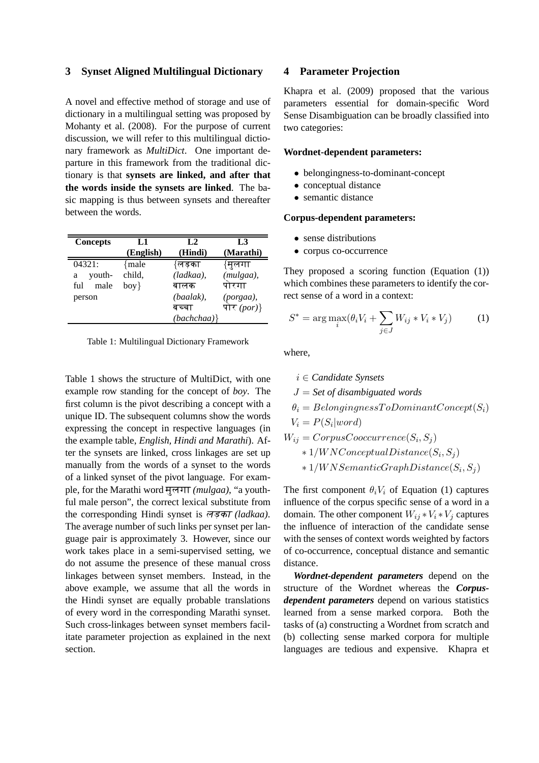### **3 Synset Aligned Multilingual Dictionary**

A novel and effective method of storage and use of dictionary in a multilingual setting was proposed by Mohanty et al. (2008). For the purpose of current discussion, we will refer to this multilingual dictionary framework as *MultiDict*. One important departure in this framework from the traditional dictionary is that **synsets are linked, and after that the words inside the synsets are linked**. The basic mapping is thus between synsets and thereafter between the words.

| Concepts    | L1        | L <sub>2</sub> | L3          |
|-------------|-----------|----------------|-------------|
|             | (English) | (Hindi)        | (Marathi)   |
| 04321:      | { male    | {लड़का         | {मुलगा      |
| youth-<br>a | child,    | $(ladkaa)$ ,   | (mulgaa),   |
| male<br>ful | $box$ }   | बालक           | पोरगा       |
| person      |           | $(baalak)$ ,   | (porgaa),   |
|             |           | बच्चा          | पोर $(por)$ |
|             |           | $(bachchaa)$ } |             |

|  |  | Table 1: Multilingual Dictionary Framework |  |
|--|--|--------------------------------------------|--|
|--|--|--------------------------------------------|--|

Table 1 shows the structure of MultiDict, with one example row standing for the concept of *boy*. The first column is the pivot describing a concept with a unique ID. The subsequent columns show the words expressing the concept in respective languages (in the example table, *English, Hindi and Marathi*). After the synsets are linked, cross linkages are set up manually from the words of a synset to the words of a linked synset of the pivot language. For example, for the Marathi word मुलगा (mulgaa), "a youthful male person", the correct lexical substitute from the corresponding Hindi synset is लड़का (ladkaa). The average number of such links per synset per language pair is approximately 3. However, since our work takes place in a semi-supervised setting, we do not assume the presence of these manual cross linkages between synset members. Instead, in the above example, we assume that all the words in the Hindi synset are equally probable translations of every word in the corresponding Marathi synset. Such cross-linkages between synset members facilitate parameter projection as explained in the next section.

#### **4 Parameter Projection**

Khapra et al. (2009) proposed that the various parameters essential for domain-specific Word Sense Disambiguation can be broadly classified into two categories:

### **Wordnet-dependent parameters:**

- belongingness-to-dominant-concept
- conceptual distance
- semantic distance

#### **Corpus-dependent parameters:**

- sense distributions
- corpus co-occurrence

They proposed a scoring function (Equation (1)) which combines these parameters to identify the correct sense of a word in a context:

$$
S^* = \arg\max_{i} (\theta_i V_i + \sum_{j \in J} W_{ij} * V_i * V_j)
$$
 (1)

where,

$$
i \in Candidate\ Synsets
$$
\n
$$
J = Set\ of\ disambiguated\ words
$$
\n
$$
\theta_i = BelongingnessToDomaintConcept(S_i)
$$
\n
$$
V_i = P(S_i|word)
$$
\n
$$
W_{ij} = CorpusCooccurrence(S_i, S_j)
$$
\n
$$
* 1/WNConeptualDistance(S_i, S_j)
$$
\n
$$
* 1/WNSematicGraphDistance(S_i, S_j)
$$

The first component  $\theta_i V_i$  of Equation (1) captures influence of the corpus specific sense of a word in a domain. The other component  $W_{ij} * V_i * V_j$  captures the influence of interaction of the candidate sense with the senses of context words weighted by factors of co-occurrence, conceptual distance and semantic distance.

*Wordnet-dependent parameters* depend on the structure of the Wordnet whereas the *Corpusdependent parameters* depend on various statistics learned from a sense marked corpora. Both the tasks of (a) constructing a Wordnet from scratch and (b) collecting sense marked corpora for multiple languages are tedious and expensive. Khapra et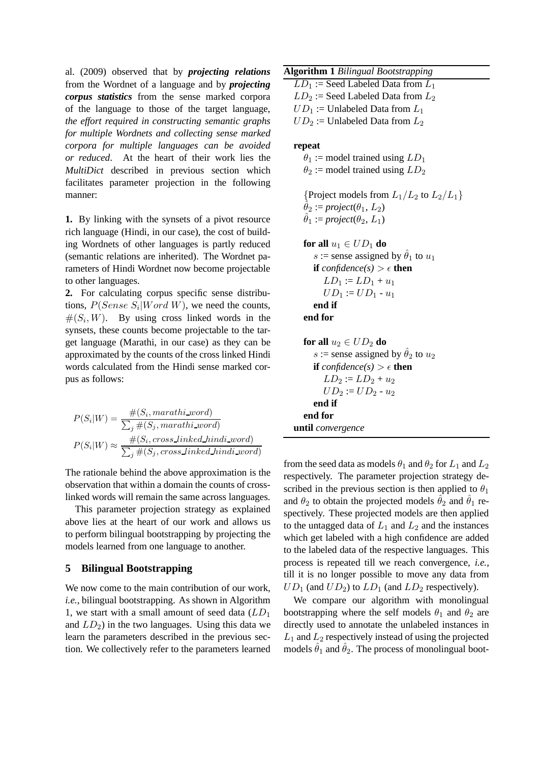al. (2009) observed that by *projecting relations* from the Wordnet of a language and by *projecting corpus statistics* from the sense marked corpora of the language to those of the target language, *the effort required in constructing semantic graphs for multiple Wordnets and collecting sense marked corpora for multiple languages can be avoided or reduced*. At the heart of their work lies the *MultiDict* described in previous section which facilitates parameter projection in the following manner:

**1.** By linking with the synsets of a pivot resource rich language (Hindi, in our case), the cost of building Wordnets of other languages is partly reduced (semantic relations are inherited). The Wordnet parameters of Hindi Wordnet now become projectable to other languages.

**2.** For calculating corpus specific sense distributions,  $P(Sense S_i|Word W)$ , we need the counts,  $#(S_i, W)$ . By using cross linked words in the synsets, these counts become projectable to the target language (Marathi, in our case) as they can be approximated by the counts of the cross linked Hindi words calculated from the Hindi sense marked corpus as follows:

 $P(S_i|W) = \frac{\#(S_i, \text{marathi\_word})}{\sum_{\mu \in S_i} \mu(S_i, \text{mamethi\_word})}$  $\sum_j \#(S_j, \text{marathi\_word})$  $P(S_i|W) \approx \frac{\#(S_i, cross-linked\_hindi\_word)}{\sum_{i} \#(S_i, cross\_linked\_hidden\_level)}$  $\sum_j \#(S_j, cross\_linked\_hindi\_word)$ 

The rationale behind the above approximation is the observation that within a domain the counts of crosslinked words will remain the same across languages.

This parameter projection strategy as explained above lies at the heart of our work and allows us to perform bilingual bootstrapping by projecting the models learned from one language to another.

### **5 Bilingual Bootstrapping**

We now come to the main contribution of our work, *i.e.*, bilingual bootstrapping. As shown in Algorithm 1, we start with a small amount of seed data  $(LD_1)$ and  $LD_2$ ) in the two languages. Using this data we learn the parameters described in the previous section. We collectively refer to the parameters learned

| <b>Algorithm 1 Bilingual Bootstrapping</b> |  |
|--------------------------------------------|--|
|--------------------------------------------|--|

 $LD_1$  := Seed Labeled Data from  $L_1$  $LD_2$  := Seed Labeled Data from  $L_2$  $UD_1 :=$  Unlabeled Data from  $L_1$  $UD_2 :=$  Unlabeled Data from  $L_2$ 

#### **repeat**

 $\theta_1$  := model trained using  $LD_1$  $\theta_2$  := model trained using  $LD_2$ 

{Project models from  $L_1/L_2$  to  $L_2/L_1$ }  $\hat{\theta}_2$  := *project*( $\theta_1, L_2$ )  $\hat{\theta}_1 := project(\theta_2, L_1)$ 

```
for all u_1 \in UD_1 do
   s := sense assigned by \hat{\theta}_1 to u_1if confidence(s) > \epsilon then
      LD_1 := LD_1 + u_1UD_1 := UD_1 - u_1end if
end for
```

```
for all u_2 \in UD_2 do
     s := sense assigned by \hat{\theta}_2 to u_2if confidence(s) > \epsilon then
        LD_2 := LD_2 + u_2UD_2 := UD_2 - u_2end if
  end for
until convergence
```
from the seed data as models  $\theta_1$  and  $\theta_2$  for  $L_1$  and  $L_2$ respectively. The parameter projection strategy described in the previous section is then applied to  $\theta_1$ and  $\theta_2$  to obtain the projected models  $\hat{\theta}_2$  and  $\hat{\theta}_1$  respectively. These projected models are then applied to the untagged data of  $L_1$  and  $L_2$  and the instances which get labeled with a high confidence are added to the labeled data of the respective languages. This process is repeated till we reach convergence, *i.e.*, till it is no longer possible to move any data from  $UD_1$  (and  $UD_2$ ) to  $LD_1$  (and  $LD_2$  respectively).

We compare our algorithm with monolingual bootstrapping where the self models  $\theta_1$  and  $\theta_2$  are directly used to annotate the unlabeled instances in  $L_1$  and  $L_2$  respectively instead of using the projected models  $\hat{\theta}_1$  and  $\hat{\theta}_2$ . The process of monolingual boot-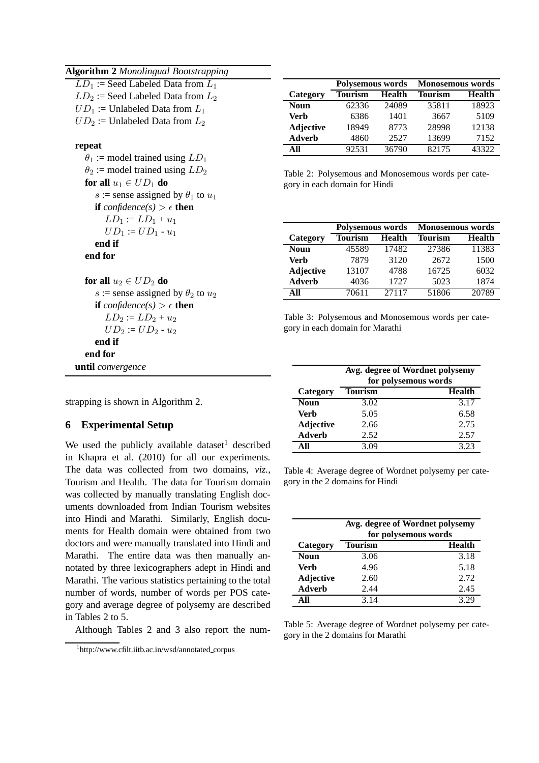|  |  |  |  | <b>Algorithm 2 Monolingual Bootstrapping</b> |
|--|--|--|--|----------------------------------------------|
|--|--|--|--|----------------------------------------------|

| $LD_1$ := Seed Labeled Data from $L_1$ |
|----------------------------------------|
| $LD_2$ := Seed Labeled Data from $L_2$ |
| $UD_1$ := Unlabeled Data from $L_1$    |
| $UD_2$ := Unlabeled Data from $L_2$    |

### **repeat**

 $\theta_1$  := model trained using  $LD_1$  $\theta_2$  := model trained using  $LD_2$ **for all**  $u_1 \in UD_1$  **do** s := sense assigned by  $\theta_1$  to  $u_1$ **if**  $confidence(s) > \epsilon$  **then**  $LD_1 := LD_1 + u_1$  $UD_1 := UD_1 - u_1$ **end if end for**

**for all**  $u_2 \in UD_2$  **do** s := sense assigned by  $\theta_2$  to  $u_2$ **if**  $confidence(s) > \epsilon$  **then**  $LD_2 := LD_2 + u_2$  $UD_2 := UD_2 - u_2$ **end if end for until** *convergence*

strapping is shown in Algorithm 2.

# **6 Experimental Setup**

We used the publicly available dataset<sup>1</sup> described in Khapra et al. (2010) for all our experiments. The data was collected from two domains, *viz.*, Tourism and Health. The data for Tourism domain was collected by manually translating English documents downloaded from Indian Tourism websites into Hindi and Marathi. Similarly, English documents for Health domain were obtained from two doctors and were manually translated into Hindi and Marathi. The entire data was then manually annotated by three lexicographers adept in Hindi and Marathi. The various statistics pertaining to the total number of words, number of words per POS category and average degree of polysemy are described in Tables 2 to 5.

Although Tables 2 and 3 also report the num-

|                  | Polysemous words |               | <b>Monosemous words</b> |        |
|------------------|------------------|---------------|-------------------------|--------|
| Category         | Tourism          | <b>Health</b> | <b>Tourism</b>          | Health |
| <b>Noun</b>      | 62336            | 24089         | 35811                   | 18923  |
| Verb             | 6386             | 1401          | 3667                    | 5109   |
| <b>Adjective</b> | 18949            | 8773          | 28998                   | 12138  |
| <b>Adverb</b>    | 4860             | 2527          | 13699                   | 7152   |
| АN               | 92531            | 36790         | 82175                   | 43322  |

Table 2: Polysemous and Monosemous words per category in each domain for Hindi

|                  | Polysemous words |               | <b>Monosemous words</b> |        |
|------------------|------------------|---------------|-------------------------|--------|
| Category         | Tourism          | <b>Health</b> | <b>Tourism</b>          | Health |
| Noun             | 45589            | 17482         | 27386                   | 11383  |
| Verb             | 7879             | 3120          | 2672                    | 1500   |
| <b>Adjective</b> | 13107            | 4788          | 16725                   | 6032   |
| <b>Adverb</b>    | 4036             | 1727          | 5023                    | 1874   |
| ΔH               | 70611            | 27117         | 51806                   | 20789  |

Table 3: Polysemous and Monosemous words per category in each domain for Marathi

|                  | Avg. degree of Wordnet polysemy<br>for polysemous words |               |  |
|------------------|---------------------------------------------------------|---------------|--|
| Category         | <b>Tourism</b>                                          | <b>Health</b> |  |
| <b>Noun</b>      | 3.02                                                    | 3.17          |  |
| Verb             | 5.05                                                    | 6.58          |  |
| <b>Adjective</b> | 2.66                                                    | 2.75          |  |
| <b>Adverb</b>    | 2.52                                                    | 2.57          |  |
|                  | 3.09                                                    | 3.23          |  |

Table 4: Average degree of Wordnet polysemy per category in the 2 domains for Hindi

|                  | Avg. degree of Wordnet polysemy<br>for polysemous words |               |  |
|------------------|---------------------------------------------------------|---------------|--|
| Category         | <b>Tourism</b>                                          | <b>Health</b> |  |
| <b>Noun</b>      | 3.06                                                    | 3.18          |  |
| Verb             | 4.96                                                    | 5.18          |  |
| <b>Adjective</b> | 2.60                                                    | 2.72          |  |
| <b>Adverb</b>    | 2.44                                                    | 2.45          |  |
| АN               | 3 1 4                                                   | 3.29          |  |

Table 5: Average degree of Wordnet polysemy per category in the 2 domains for Marathi

<sup>1</sup> http://www.cfilt.iitb.ac.in/wsd/annotated corpus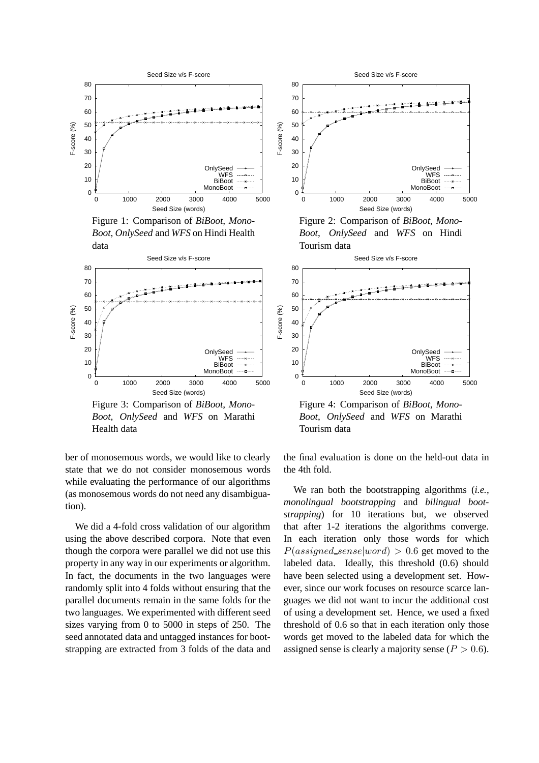

Figure 1: Comparison of *BiBoot*, *Mono-Boot*, *OnlySeed* and *WFS* on Hindi Health data



Figure 3: Comparison of *BiBoot*, *Mono-Boot*, *OnlySeed* and *WFS* on Marathi Health data

ber of monosemous words, we would like to clearly state that we do not consider monosemous words while evaluating the performance of our algorithms (as monosemous words do not need any disambiguation).

We did a 4-fold cross validation of our algorithm using the above described corpora. Note that even though the corpora were parallel we did not use this property in any way in our experiments or algorithm. In fact, the documents in the two languages were randomly split into 4 folds without ensuring that the parallel documents remain in the same folds for the two languages. We experimented with different seed sizes varying from 0 to 5000 in steps of 250. The seed annotated data and untagged instances for bootstrapping are extracted from 3 folds of the data and



Figure 2: Comparison of *BiBoot*, *Mono-Boot*, *OnlySeed* and *WFS* on Hindi Tourism data



Figure 4: Comparison of *BiBoot*, *Mono-Boot*, *OnlySeed* and *WFS* on Marathi Tourism data

the final evaluation is done on the held-out data in the 4th fold.

We ran both the bootstrapping algorithms (*i.e.*, *monolingual bootstrapping* and *bilingual bootstrapping*) for 10 iterations but, we observed that after 1-2 iterations the algorithms converge. In each iteration only those words for which  $P(assigned\_sense|word) > 0.6$  get moved to the labeled data. Ideally, this threshold (0.6) should have been selected using a development set. However, since our work focuses on resource scarce languages we did not want to incur the additional cost of using a development set. Hence, we used a fixed threshold of 0.6 so that in each iteration only those words get moved to the labeled data for which the assigned sense is clearly a majority sense ( $P > 0.6$ ).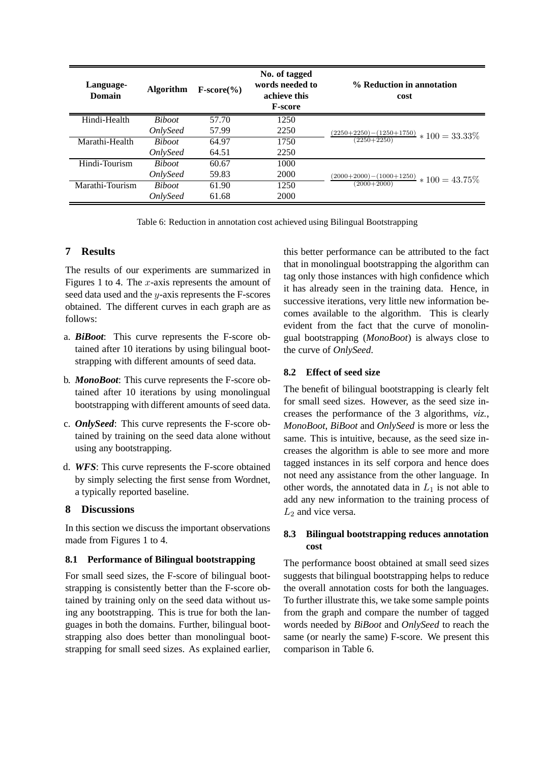| Language-<br><b>Domain</b> | <b>Algorithm</b>       | $F-score(\%)$ | No. of tagged<br>words needed to<br>achieve this<br><b>F-score</b> | % Reduction in annotation<br>cost                             |
|----------------------------|------------------------|---------------|--------------------------------------------------------------------|---------------------------------------------------------------|
| Hindi-Health               | <i>Biboot</i>          | 57.70         | 1250                                                               |                                                               |
|                            | <i><b>OnlySeed</b></i> | 57.99         | 2250                                                               | $\frac{(2250+2250)-(1250+1750)}{(2250+2250)} * 100 = 33.33\%$ |
| Marathi-Health             | <b>Biboot</b>          | 64.97         | 1750                                                               |                                                               |
|                            | <i>OnlySeed</i>        | 64.51         | 2250                                                               |                                                               |
| Hindi-Tourism              | <b>Biboot</b>          | 60.67         | 1000                                                               |                                                               |
|                            | <i>OnlySeed</i>        | 59.83         | 2000                                                               |                                                               |
| Marathi-Tourism            | <b>Biboot</b>          | 61.90         | 1250                                                               | $\frac{(2000+2000)-(1000+1250)}{(2000+2000)} * 100 = 43.75\%$ |
|                            | <i><b>OnlySeed</b></i> | 61.68         | 2000                                                               |                                                               |

Table 6: Reduction in annotation cost achieved using Bilingual Bootstrapping

# **7 Results**

The results of our experiments are summarized in Figures 1 to 4. The  $x$ -axis represents the amount of seed data used and the y-axis represents the F-scores obtained. The different curves in each graph are as follows:

- a. *BiBoot*: This curve represents the F-score obtained after 10 iterations by using bilingual bootstrapping with different amounts of seed data.
- b. *MonoBoot*: This curve represents the F-score obtained after 10 iterations by using monolingual bootstrapping with different amounts of seed data.
- c. *OnlySeed*: This curve represents the F-score obtained by training on the seed data alone without using any bootstrapping.
- d. *WFS*: This curve represents the F-score obtained by simply selecting the first sense from Wordnet, a typically reported baseline.

# **8 Discussions**

In this section we discuss the important observations made from Figures 1 to 4.

# **8.1 Performance of Bilingual bootstrapping**

For small seed sizes, the F-score of bilingual bootstrapping is consistently better than the F-score obtained by training only on the seed data without using any bootstrapping. This is true for both the languages in both the domains. Further, bilingual bootstrapping also does better than monolingual bootstrapping for small seed sizes. As explained earlier, this better performance can be attributed to the fact that in monolingual bootstrapping the algorithm can tag only those instances with high confidence which it has already seen in the training data. Hence, in successive iterations, very little new information becomes available to the algorithm. This is clearly evident from the fact that the curve of monolingual bootstrapping (*MonoBoot*) is always close to the curve of *OnlySeed*.

# **8.2 Effect of seed size**

The benefit of bilingual bootstrapping is clearly felt for small seed sizes. However, as the seed size increases the performance of the 3 algorithms, *viz.*, *MonoBoot*, *BiBoot* and *OnlySeed* is more or less the same. This is intuitive, because, as the seed size increases the algorithm is able to see more and more tagged instances in its self corpora and hence does not need any assistance from the other language. In other words, the annotated data in  $L_1$  is not able to add any new information to the training process of  $L_2$  and vice versa.

# **8.3 Bilingual bootstrapping reduces annotation cost**

The performance boost obtained at small seed sizes suggests that bilingual bootstrapping helps to reduce the overall annotation costs for both the languages. To further illustrate this, we take some sample points from the graph and compare the number of tagged words needed by *BiBoot* and *OnlySeed* to reach the same (or nearly the same) F-score. We present this comparison in Table 6.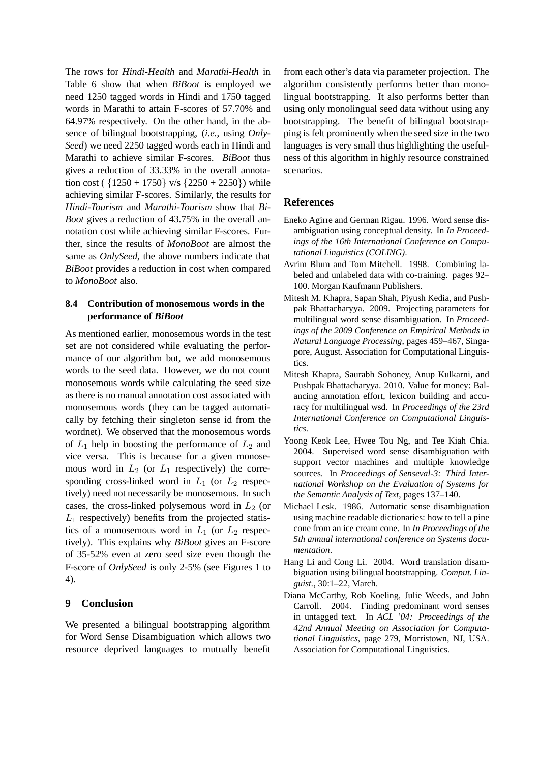The rows for *Hindi-Health* and *Marathi-Health* in Table 6 show that when *BiBoot* is employed we need 1250 tagged words in Hindi and 1750 tagged words in Marathi to attain F-scores of 57.70% and 64.97% respectively. On the other hand, in the absence of bilingual bootstrapping, (*i.e.*, using *Only-Seed*) we need 2250 tagged words each in Hindi and Marathi to achieve similar F-scores. *BiBoot* thus gives a reduction of 33.33% in the overall annotation cost ( ${1250 + 1750}$  v/s  ${2250 + 2250}$ ) while achieving similar F-scores. Similarly, the results for *Hindi-Tourism* and *Marathi-Tourism* show that *Bi-Boot* gives a reduction of 43.75% in the overall annotation cost while achieving similar F-scores. Further, since the results of *MonoBoot* are almost the same as *OnlySeed*, the above numbers indicate that *BiBoot* provides a reduction in cost when compared to *MonoBoot* also.

# **8.4 Contribution of monosemous words in the performance of** *BiBoot*

As mentioned earlier, monosemous words in the test set are not considered while evaluating the performance of our algorithm but, we add monosemous words to the seed data. However, we do not count monosemous words while calculating the seed size as there is no manual annotation cost associated with monosemous words (they can be tagged automatically by fetching their singleton sense id from the wordnet). We observed that the monosemous words of  $L_1$  help in boosting the performance of  $L_2$  and vice versa. This is because for a given monosemous word in  $L_2$  (or  $L_1$  respectively) the corresponding cross-linked word in  $L_1$  (or  $L_2$  respectively) need not necessarily be monosemous. In such cases, the cross-linked polysemous word in  $L_2$  (or  $L_1$  respectively) benefits from the projected statistics of a monosemous word in  $L_1$  (or  $L_2$  respectively). This explains why *BiBoot* gives an F-score of 35-52% even at zero seed size even though the F-score of *OnlySeed* is only 2-5% (see Figures 1 to 4).

# **9 Conclusion**

We presented a bilingual bootstrapping algorithm for Word Sense Disambiguation which allows two resource deprived languages to mutually benefit from each other's data via parameter projection. The algorithm consistently performs better than monolingual bootstrapping. It also performs better than using only monolingual seed data without using any bootstrapping. The benefit of bilingual bootstrapping is felt prominently when the seed size in the two languages is very small thus highlighting the usefulness of this algorithm in highly resource constrained scenarios.

# **References**

- Eneko Agirre and German Rigau. 1996. Word sense disambiguation using conceptual density. In *In Proceedings of the 16th International Conference on Computational Linguistics (COLING)*.
- Avrim Blum and Tom Mitchell. 1998. Combining labeled and unlabeled data with co-training. pages 92– 100. Morgan Kaufmann Publishers.
- Mitesh M. Khapra, Sapan Shah, Piyush Kedia, and Pushpak Bhattacharyya. 2009. Projecting parameters for multilingual word sense disambiguation. In *Proceedings of the 2009 Conference on Empirical Methods in Natural Language Processing*, pages 459–467, Singapore, August. Association for Computational Linguistics.
- Mitesh Khapra, Saurabh Sohoney, Anup Kulkarni, and Pushpak Bhattacharyya. 2010. Value for money: Balancing annotation effort, lexicon building and accuracy for multilingual wsd. In *Proceedings of the 23rd International Conference on Computational Linguistics*.
- Yoong Keok Lee, Hwee Tou Ng, and Tee Kiah Chia. 2004. Supervised word sense disambiguation with support vector machines and multiple knowledge sources. In *Proceedings of Senseval-3: Third International Workshop on the Evaluation of Systems for the Semantic Analysis of Text*, pages 137–140.
- Michael Lesk. 1986. Automatic sense disambiguation using machine readable dictionaries: how to tell a pine cone from an ice cream cone. In *In Proceedings of the 5th annual international conference on Systems documentation*.
- Hang Li and Cong Li. 2004. Word translation disambiguation using bilingual bootstrapping. *Comput. Linguist.*, 30:1–22, March.
- Diana McCarthy, Rob Koeling, Julie Weeds, and John Carroll. 2004. Finding predominant word senses in untagged text. In *ACL '04: Proceedings of the 42nd Annual Meeting on Association for Computational Linguistics*, page 279, Morristown, NJ, USA. Association for Computational Linguistics.